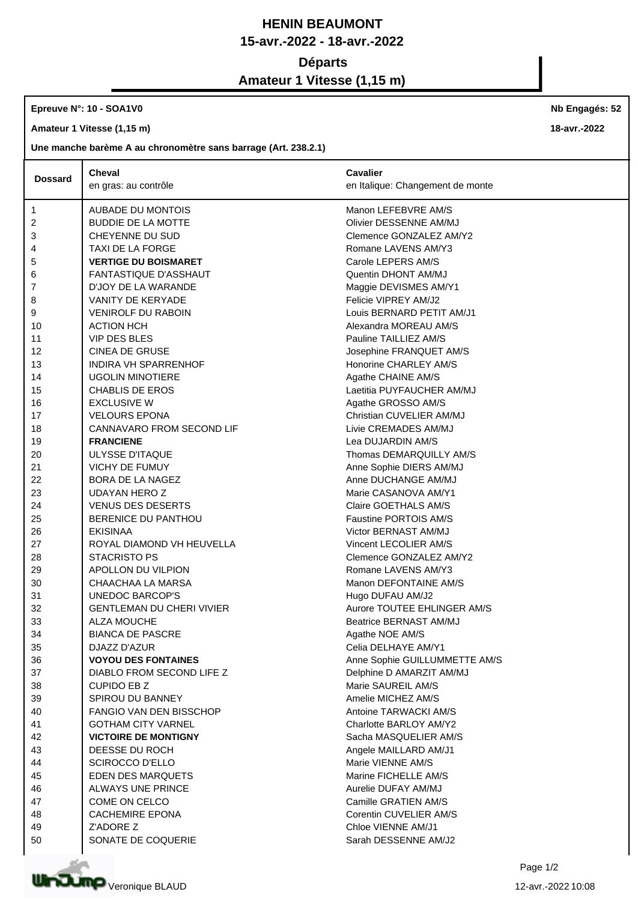## **HENIN BEAUMONT 15-avr.-2022 - 18-avr.-2022 Départs Amateur 1 Vitesse (1,15 m)**

**Epreuve N°: 10 - SOA1V0** 

**Amateur 1 Vitesse (1,15 m)**

**Une manche barème A au chronomètre sans barrage (Art. 238.2.1)**

|                | Cheval                           | <b>Cavalier</b>                             |
|----------------|----------------------------------|---------------------------------------------|
| <b>Dossard</b> | en gras: au contrôle             | en Italique: Changement de monte            |
|                |                                  |                                             |
| 1              | AUBADE DU MONTOIS                | Manon LEFEBVRE AM/S                         |
| 2              | <b>BUDDIE DE LA MOTTE</b>        | Olivier DESSENNE AM/MJ                      |
| 3              | CHEYENNE DU SUD                  | Clemence GONZALEZ AM/Y2                     |
| 4              | TAXI DE LA FORGE                 | Romane LAVENS AM/Y3                         |
| 5              | <b>VERTIGE DU BOISMARET</b>      | Carole LEPERS AM/S                          |
| 6              | <b>FANTASTIQUE D'ASSHAUT</b>     | Quentin DHONT AM/MJ                         |
| 7              | D'JOY DE LA WARANDE              | Maggie DEVISMES AM/Y1                       |
| 8              | <b>VANITY DE KERYADE</b>         | Felicie VIPREY AM/J2                        |
| 9              | <b>VENIROLF DU RABOIN</b>        | Louis BERNARD PETIT AM/J1                   |
| 10             | <b>ACTION HCH</b>                | Alexandra MOREAU AM/S                       |
| 11             | <b>VIP DES BLES</b>              | Pauline TAILLIEZ AM/S                       |
| 12             | <b>CINEA DE GRUSE</b>            | Josephine FRANQUET AM/S                     |
| 13             | <b>INDIRA VH SPARRENHOF</b>      | Honorine CHARLEY AM/S                       |
| 14             | <b>UGOLIN MINOTIERE</b>          | Agathe CHAINE AM/S                          |
| 15             | <b>CHABLIS DE EROS</b>           | Laetitia PUYFAUCHER AM/MJ                   |
| 16             | <b>EXCLUSIVE W</b>               | Agathe GROSSO AM/S                          |
| 17             | <b>VELOURS EPONA</b>             | Christian CUVELIER AM/MJ                    |
| 18             | CANNAVARO FROM SECOND LIF        | Livie CREMADES AM/MJ                        |
| 19             | <b>FRANCIENE</b>                 | Lea DUJARDIN AM/S                           |
| 20             | <b>ULYSSE D'ITAQUE</b>           | Thomas DEMARQUILLY AM/S                     |
| 21             | <b>VICHY DE FUMUY</b>            | Anne Sophie DIERS AM/MJ                     |
| 22             | BORA DE LA NAGEZ                 | Anne DUCHANGE AM/MJ                         |
| 23             | <b>UDAYAN HERO Z</b>             | Marie CASANOVA AM/Y1                        |
| 24             | <b>VENUS DES DESERTS</b>         | Claire GOETHALS AM/S                        |
| 25             | BERENICE DU PANTHOU              | <b>Faustine PORTOIS AM/S</b>                |
| 26             | <b>EKISINAA</b>                  | Victor BERNAST AM/MJ                        |
| 27             | ROYAL DIAMOND VH HEUVELLA        | Vincent LECOLIER AM/S                       |
| 28             | <b>STACRISTO PS</b>              | Clemence GONZALEZ AM/Y2                     |
| 29             | APOLLON DU VILPION               | Romane LAVENS AM/Y3                         |
| 30             | CHAACHAA LA MARSA                | Manon DEFONTAINE AM/S                       |
| 31             | UNEDOC BARCOP'S                  | Hugo DUFAU AM/J2                            |
| 32             | <b>GENTLEMAN DU CHERI VIVIER</b> | Aurore TOUTEE EHLINGER AM/S                 |
| 33             | <b>ALZA MOUCHE</b>               | Beatrice BERNAST AM/MJ                      |
| 34             | <b>BIANCA DE PASCRE</b>          | Agathe NOE AM/S                             |
| 35             | DJAZZ D'AZUR                     | Celia DELHAYE AM/Y1                         |
| 36             | <b>VOYOU DES FONTAINES</b>       | Anne Sophie GUILLUMMETTE AM/S               |
| 37             | DIABLO FROM SECOND LIFE Z        | Delphine D AMARZIT AM/MJ                    |
| 38             | <b>CUPIDO EB Z</b>               | Marie SAUREIL AM/S                          |
| 39             | SPIROU DU BANNEY                 | Amelie MICHEZ AM/S                          |
| 40             | <b>FANGIO VAN DEN BISSCHOP</b>   | Antoine TARWACKI AM/S                       |
| 41             | <b>GOTHAM CITY VARNEL</b>        | Charlotte BARLOY AM/Y2                      |
| 42             | <b>VICTOIRE DE MONTIGNY</b>      | Sacha MASQUELIER AM/S                       |
| 43             | DEESSE DU ROCH                   | Angele MAILLARD AM/J1                       |
|                |                                  | Marie VIENNE AM/S                           |
| 44             | <b>SCIROCCO D'ELLO</b>           |                                             |
| 45             | <b>EDEN DES MARQUETS</b>         | Marine FICHELLE AM/S<br>Aurelie DUFAY AM/MJ |
| 46             | ALWAYS UNE PRINCE                | Camille GRATIEN AM/S                        |
| 47             | COME ON CELCO                    |                                             |
| 48             | <b>CACHEMIRE EPONA</b>           | Corentin CUVELIER AM/S                      |
| 49             | Z'ADORE Z                        | Chloe VIENNE AM/J1                          |
| 50             | SONATE DE COQUERIE               | Sarah DESSENNE AM/J2                        |



Page 1/2

**Nb Engagés: 52**

**18-avr.-2022**